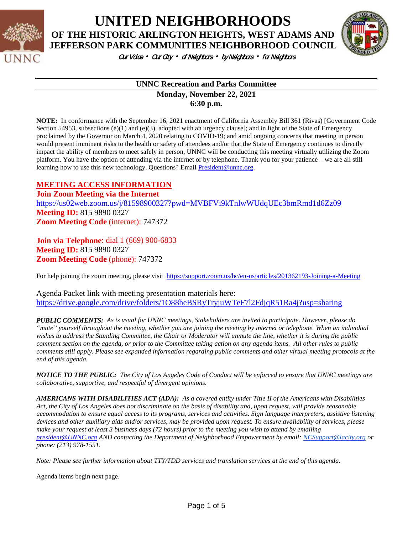

**UNITED NEIGHBORHOODS OF THE HISTORIC ARLINGTON HEIGHTS, WEST ADAMS AND JEFFERSON PARK COMMUNITIES NEIGHBORHOOD COUNCIL**



Our Voice • Our City • of Neighbors • by Neighbors • for Neighbors

#### **UNNC Recreation and Parks Committee Monday, November 22, 2021**

**6:30 p.m.**

**NOTE:** In conformance with the September 16, 2021 enactment of California Assembly Bill 361 (Rivas) [Government Code Section 54953, subsections  $(e)(1)$  and  $(e)(3)$ , adopted with an urgency clause]; and in light of the State of Emergency proclaimed by the Governor on March 4, 2020 relating to COVID-19; and amid ongoing concerns that meeting in person would present imminent risks to the health or safety of attendees and/or that the State of Emergency continues to directly impact the ability of members to meet safely in person, UNNC will be conducting this meeting virtually utilizing the Zoom platform. You have the option of attending via the internet or by telephone. Thank you for your patience – we are all still learning how to use this new technology. Questions? Email [President@unnc.org.](mailto:President@unnc.org)

### **MEETING ACCESS INFORMATION**

**Join Zoom Meeting via the Internet** <https://us02web.zoom.us/j/81598900327?pwd=MVBFVi9kTnlwWUdqUEc3bmRmd1d6Zz09> **Meeting ID:** 815 9890 0327 **Zoom Meeting Code** (internet): 747372

**Join via Telephone**: dial 1 (669) 900-6833 **Meeting ID:** 815 9890 0327 **Zoom Meeting Code** (phone): 747372

For help joining the zoom meeting, please visit <https://support.zoom.us/hc/en-us/articles/201362193-Joining-a-Meeting>

Agenda Packet link with meeting presentation materials here: <https://drive.google.com/drive/folders/1O88heBSRyTryjuWTeF7l2FdjqR51Ra4j?usp=sharing>

*PUBLIC COMMENTS: As is usual for UNNC meetings, Stakeholders are invited to participate. However, please do "mute" yourself throughout the meeting, whether you are joining the meeting by internet or telephone. When an individual wishes to address the Standing Committee, the Chair or Moderator will unmute the line, whether it is during the public comment section on the agenda, or prior to the Committee taking action on any agenda items. All other rules to public comments still apply. Please see expanded information regarding public comments and other virtual meeting protocols at the end of this agenda.*

*NOTICE TO THE PUBLIC: The City of Los Angeles Code of Conduct will be enforced to ensure that UNNC meetings are collaborative, supportive, and respectful of divergent opinions.* 

*AMERICANS WITH DISABILITIES ACT (ADA): As a covered entity under Title II of the Americans with Disabilities Act, the City of Los Angeles does not discriminate on the basis of disability and, upon request, will provide reasonable accommodation to ensure equal access to its programs, services and activities. Sign language interpreters, assistive listening devices and other auxiliary aids and/or services, may be provided upon request. To ensure availability of services, please make your request at least 3 business days (72 hours) prior to the meeting you wish to attend by emailing [president@UNNC.org](mailto:president@UNNC.org) AND contacting the Department of Neighborhood Empowerment by email[: NCSupport@lacity.org](mailto:NCSupport@lacity.org) or phone: (213) 978-1551.*

*Note: Please see further information about TTY/TDD services and translation services at the end of this agenda.*

Agenda items begin next page.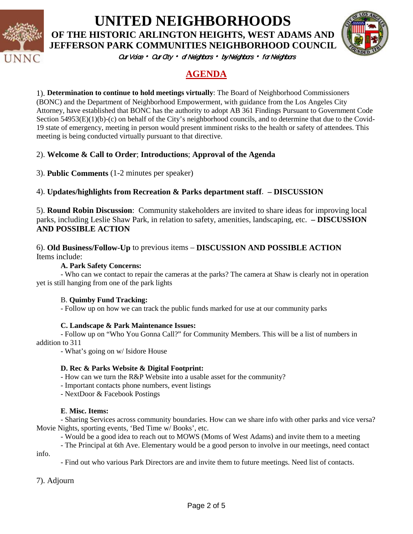

## **UNITED NEIGHBORHOODS OF THE HISTORIC ARLINGTON HEIGHTS, WEST ADAMS AND JEFFERSON PARK COMMUNITIES NEIGHBORHOOD COUNCIL**



Our Vaice • Our City • of Neighbors • by Neighbors • for Neighbors

## **AGENDA**

1). **Determination to continue to hold meetings virtually**: The Board of Neighborhood Commissioners (BONC) and the Department of Neighborhood Empowerment, with guidance from the Los Angeles City Attorney, have established that BONC has the authority to adopt AB 361 Findings Pursuant to Government Code Section 54953(E)(1)(b)-(c) on behalf of the City's neighborhood councils, and to determine that due to the Covid-19 state of emergency, meeting in person would present imminent risks to the health or safety of attendees. This meeting is being conducted virtually pursuant to that directive.

### 2). **Welcome & Call to Order**; **Introductions**; **Approval of the Agenda**

3). **Public Comments** (1-2 minutes per speaker)

### 4). **Updates/highlights from Recreation & Parks department staff**. **– DISCUSSION**

5). **Round Robin Discussion**: Community stakeholders are invited to share ideas for improving local parks, including Leslie Shaw Park, in relation to safety, amenities, landscaping, etc. **– DISCUSSION AND POSSIBLE ACTION**

#### 6). **Old Business/Follow-Up** to previous items – **DISCUSSION AND POSSIBLE ACTION** Items include:

**A. Park Safety Concerns:**

- Who can we contact to repair the cameras at the parks? The camera at Shaw is clearly not in operation yet is still hanging from one of the park lights

#### B. **Quimby Fund Tracking:**

- Follow up on how we can track the public funds marked for use at our community parks

#### **C. Landscape & Park Maintenance Issues:**

- Follow up on "Who You Gonna Call?" for Community Members. This will be a list of numbers in addition to 311

- What's going on w/ Isidore House

#### **D. Rec & Parks Website & Digital Footprint:**

- How can we turn the R&P Website into a usable asset for the community?

- Important contacts phone numbers, event listings
- NextDoor & Facebook Postings

#### **E**. **Misc. Items:**

- Sharing Services across community boundaries. How can we share info with other parks and vice versa? Movie Nights, sporting events, 'Bed Time w/ Books', etc.

- Would be a good idea to reach out to MOWS (Moms of West Adams) and invite them to a meeting

- The Principal at 6th Ave. Elementary would be a good person to involve in our meetings, need contact info.

- Find out who various Park Directors are and invite them to future meetings. Need list of contacts.

7). Adjourn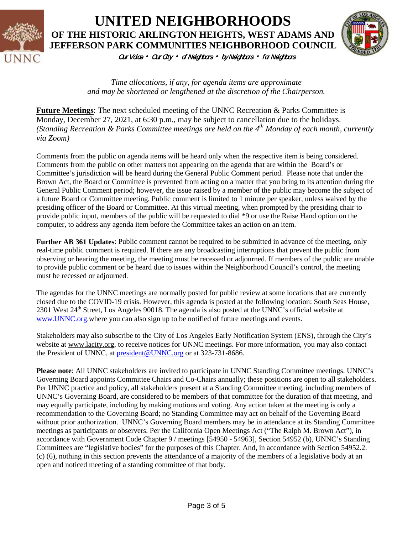

# Our Vaice • Our City • of Neighbors • by Neighbors • for Neighbors **UNITED NEIGHBORHOODS OF THE HISTORIC ARLINGTON HEIGHTS, WEST ADAMS AND JEFFERSON PARK COMMUNITIES NEIGHBORHOOD COUNCIL**



*Time allocations, if any, for agenda items are approximate and may be shortened or lengthened at the discretion of the Chairperson.*

**Future Meetings**: The next scheduled meeting of the UNNC Recreation & Parks Committee is Monday, December 27, 2021, at 6:30 p.m., may be subject to cancellation due to the holidays. *(Standing Recreation & Parks Committee meetings are held on the 4th Monday of each month, currently via Zoom)*

Comments from the public on agenda items will be heard only when the respective item is being considered. Comments from the public on other matters not appearing on the agenda that are within the Board's or Committee's jurisdiction will be heard during the General Public Comment period. Please note that under the Brown Act, the Board or Committee is prevented from acting on a matter that you bring to its attention during the General Public Comment period; however, the issue raised by a member of the public may become the subject of a future Board or Committee meeting. Public comment is limited to 1 minute per speaker, unless waived by the presiding officer of the Board or Committee. At this virtual meeting, when prompted by the presiding chair to provide public input, members of the public will be requested to dial \*9 or use the Raise Hand option on the computer, to address any agenda item before the Committee takes an action on an item.

**Further AB 361 Updates**: Public comment cannot be required to be submitted in advance of the meeting, only real-time public comment is required. If there are any broadcasting interruptions that prevent the public from observing or hearing the meeting, the meeting must be recessed or adjourned. If members of the public are unable to provide public comment or be heard due to issues within the Neighborhood Council's control, the meeting must be recessed or adjourned.

The agendas for the UNNC meetings are normally posted for public review at some locations that are currently closed due to the COVID-19 crisis. However, this agenda is posted at the following location: South Seas House, 2301 West 24<sup>th</sup> Street, Los Angeles 90018. The agenda is also posted at the UNNC's official website at [www.UNNC.org.](http://www.unnc.org/)where you can also sign up to be notified of future meetings and events.

Stakeholders may also subscribe to the City of Los Angeles Early Notification System (ENS), through the City's website at www.lacity.org, to receive notices for UNNC meetings. For more information, you may also contact the President of UNNC, at [president@UNNC.org](mailto:president@UNNC.org) or at 323-731-8686.

**Please note**: All UNNC stakeholders are invited to participate in UNNC Standing Committee meetings. UNNC's Governing Board appoints Committee Chairs and Co-Chairs annually; these positions are open to all stakeholders. Per UNNC practice and policy, all stakeholders present at a Standing Committee meeting, including members of UNNC's Governing Board, are considered to be members of that committee for the duration of that meeting, and may equally participate, including by making motions and voting. Any action taken at the meeting is only a recommendation to the Governing Board; no Standing Committee may act on behalf of the Governing Board without prior authorization. UNNC's Governing Board members may be in attendance at its Standing Committee meetings as participants or observers. Per the California Open Meetings Act ("The Ralph M. Brown Act"), in accordance with Government Code Chapter 9 / meetings [54950 - 54963], Section 54952 (b), UNNC's Standing Committees are "legislative bodies" for the purposes of this Chapter. And, in accordance with Section 54952.2. (c) (6), nothing in this section prevents the attendance of a majority of the members of a legislative body at an open and noticed meeting of a standing committee of that body.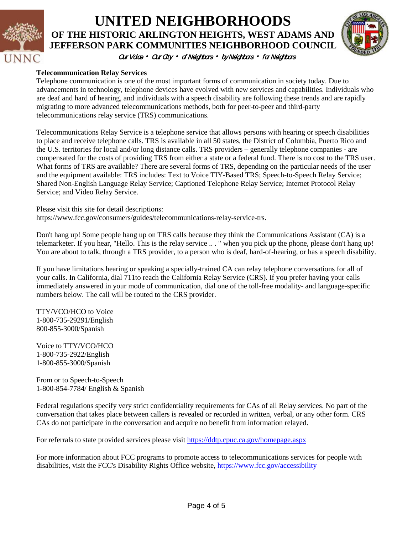

# Our Vaice • Our City • of Neighbors • by Neighbors • for Neighbors **UNITED NEIGHBORHOODS OF THE HISTORIC ARLINGTON HEIGHTS, WEST ADAMS AND JEFFERSON PARK COMMUNITIES NEIGHBORHOOD COUNCIL**



#### **Telecommunication Relay Services**

Telephone communication is one of the most important forms of communication in society today. Due to advancements in technology, telephone devices have evolved with new services and capabilities. Individuals who are deaf and hard of hearing, and individuals with a speech disability are following these trends and are rapidly migrating to more advanced telecommunications methods, both for peer-to-peer and third-party telecommunications relay service (TRS) communications.

Telecommunications Relay Service is a telephone service that allows persons with hearing or speech disabilities to place and receive telephone calls. TRS is available in all 50 states, the District of Columbia, Puerto Rico and the U.S. territories for local and/or long distance calls. TRS providers – generally telephone companies - are compensated for the costs of providing TRS from either a state or a federal fund. There is no cost to the TRS user. What forms of TRS are available? There are several forms of TRS, depending on the particular needs of the user and the equipment available: TRS includes: Text to Voice TIY-Based TRS; Speech-to-Speech Relay Service; Shared Non-English Language Relay Service; Captioned Telephone Relay Service; Internet Protocol Relay Service; and Video Relay Service.

Please visit this site for detail descriptions:

https://www.fcc.gov/consumers/guides/telecommunications-relay-service-trs.

Don't hang up! Some people hang up on TRS calls because they think the Communications Assistant (CA) is a telemarketer. If you hear, "Hello. This is the relay service .. . " when you pick up the phone, please don't hang up! You are about to talk, through a TRS provider, to a person who is deaf, hard-of-hearing, or has a speech disability.

If you have limitations hearing or speaking a specially-trained CA can relay telephone conversations for all of your calls. In California, dial 711to reach the California Relay Service (CRS). If you prefer having your calls immediately answered in your mode of communication, dial one of the toll-free modality- and language-specific numbers below. The call will be routed to the CRS provider.

TTY/VCO/HCO to Voice 1-800-735-29291/English 800-855-3000/Spanish

Voice to TTY/VCO/HCO 1-800-735-2922/English 1-800-855-3000/Spanish

From or to Speech-to-Speech 1-800-854-7784/ English & Spanish

Federal regulations specify very strict confidentiality requirements for CAs of all Relay services. No part of the conversation that takes place between callers is revealed or recorded in written, verbal, or any other form. CRS CAs do not participate in the conversation and acquire no benefit from information relayed.

For referrals to state provided services please visit<https://ddtp.cpuc.ca.gov/homepage.aspx>

For more information about FCC programs to promote access to telecommunications services for people with disabilities, visit the FCC's Disability Rights Office website,<https://www.fcc.gov/accessibility>